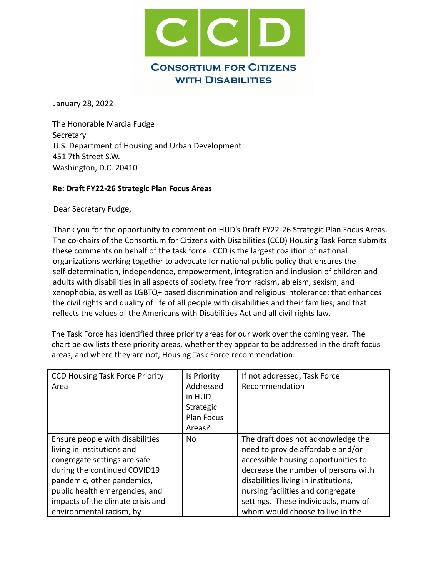

January 28, 2022

The Honorable Marcia Fudge Secretary U.S. Department of Housing and Urban Development 451 7th Street S.W. Washington, D.C. 20410

## **Re: Draft FY22-26 Strategic Plan Focus Areas**

Dear Secretary Fudge,

Thank you for the opportunity to comment on HUD's Draft FY22-26 Strategic Plan Focus Areas. The co-chairs of the Consortium for Citizens with Disabilities (CCD) Housing Task Force submits these comments on behalf of the task force . CCD is the largest coalition of national organizations working together to advocate for national public policy that ensures the self-determination, independence, empowerment, integration and inclusion of children and adults with disabilities in all aspects of society, free from racism, ableism, sexism, and xenophobia, as well as LGBTQ+ based discrimination and religious intolerance; that enhances the civil rights and quality of life of all people with disabilities and their families; and that reflects the values of the Americans with Disabilities Act and all civil rights law.

The Task Force has identified three priority areas for our work over the coming year. The chart below lists these priority areas, whether they appear to be addressed in the draft focus areas, and where they are not, Housing Task Force recommendation:

| <b>CCD Housing Task Force Priority</b><br>Area | Is Priority<br>Addressed<br>in HUD<br>Strategic<br><b>Plan Focus</b><br>Areas? | If not addressed, Task Force<br>Recommendation |
|------------------------------------------------|--------------------------------------------------------------------------------|------------------------------------------------|
| Ensure people with disabilities                | <b>No</b>                                                                      | The draft does not acknowledge the             |
| living in institutions and                     |                                                                                | need to provide affordable and/or              |
| congregate settings are safe                   |                                                                                | accessible housing opportunities to            |
| during the continued COVID19                   |                                                                                | decrease the number of persons with            |
| pandemic, other pandemics,                     |                                                                                | disabilities living in institutions,           |
| public health emergencies, and                 |                                                                                | nursing facilities and congregate              |
| impacts of the climate crisis and              |                                                                                | settings. These individuals, many of           |
| environmental racism, by                       |                                                                                | whom would choose to live in the               |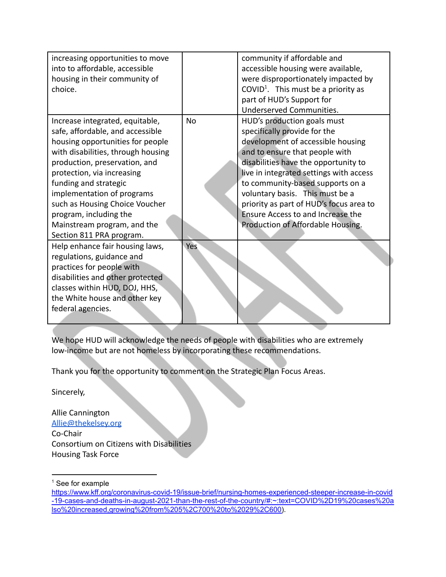| increasing opportunities to move   |           | community if affordable and                     |
|------------------------------------|-----------|-------------------------------------------------|
| into to affordable, accessible     |           | accessible housing were available,              |
| housing in their community of      |           | were disproportionately impacted by             |
| choice.                            |           | COVID <sup>1</sup> . This must be a priority as |
|                                    |           | part of HUD's Support for                       |
|                                    |           | Underserved Communities.                        |
| Increase integrated, equitable,    | <b>No</b> | HUD's production goals must                     |
| safe, affordable, and accessible   |           | specifically provide for the                    |
| housing opportunities for people   |           | development of accessible housing               |
| with disabilities, through housing |           | and to ensure that people with                  |
| production, preservation, and      |           | disabilities have the opportunity to            |
| protection, via increasing         |           | live in integrated settings with access         |
| funding and strategic              |           | to community-based supports on a                |
| implementation of programs         |           | voluntary basis. This must be a                 |
| such as Housing Choice Voucher     |           | priority as part of HUD's focus area to         |
| program, including the             |           | Ensure Access to and Increase the               |
| Mainstream program, and the        |           | Production of Affordable Housing.               |
| Section 811 PRA program.           |           |                                                 |
| Help enhance fair housing laws,    | Yes       |                                                 |
| regulations, guidance and          |           |                                                 |
| practices for people with          |           |                                                 |
| disabilities and other protected   |           |                                                 |
| classes within HUD, DOJ, HHS,      |           |                                                 |
| the White house and other key      |           |                                                 |
| federal agencies.                  |           |                                                 |
|                                    |           |                                                 |

We hope HUD will acknowledge the needs of people with disabilities who are extremely low-income but are not homeless by incorporating these recommendations.

Thank you for the opportunity to comment on the Strategic Plan Focus Areas.

Sincerely,

Allie Cannington [Allie@thekelsey.org](mailto:Allie@thekelsey.org) Co-Chair Consortium on Citizens with Disabilities Housing Task Force

<sup>&</sup>lt;sup>1</sup> See for example

[https://www.kff.org/coronavirus-covid-19/issue-brief/nursing-homes-experienced-steeper-increase-in-covid](https://www.kff.org/coronavirus-covid-19/issue-brief/nursing-homes-experienced-steeper-increase-in-covid-19-cases-and-deaths-in-august-2021-than-the-rest-of-the-country/#:~:text=COVID%2D19%20cases%20also%20increased,growing%20from%205%2C700%20to%2029%2C600) [-19-cases-and-deaths-in-august-2021-than-the-rest-of-the-country/#:~:text=COVID%2D19%20cases%20a](https://www.kff.org/coronavirus-covid-19/issue-brief/nursing-homes-experienced-steeper-increase-in-covid-19-cases-and-deaths-in-august-2021-than-the-rest-of-the-country/#:~:text=COVID%2D19%20cases%20also%20increased,growing%20from%205%2C700%20to%2029%2C600) [lso%20increased,growing%20from%205%2C700%20to%2029%2C600\)](https://www.kff.org/coronavirus-covid-19/issue-brief/nursing-homes-experienced-steeper-increase-in-covid-19-cases-and-deaths-in-august-2021-than-the-rest-of-the-country/#:~:text=COVID%2D19%20cases%20also%20increased,growing%20from%205%2C700%20to%2029%2C600).